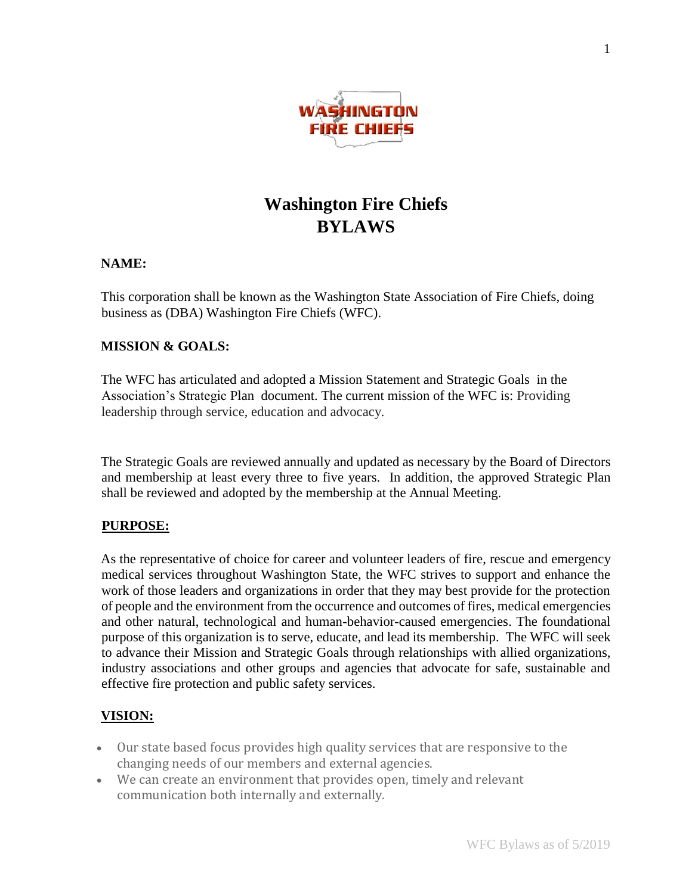

# **Washington Fire Chiefs BYLAWS**

## **NAME:**

This corporation shall be known as the Washington State Association of Fire Chiefs, doing business as (DBA) Washington Fire Chiefs (WFC).

## **MISSION & GOALS:**

The WFC has articulated and adopted a Mission Statement and Strategic Goals in the Association's Strategic Plan document. The current mission of the WFC is: Providing leadership through service, education and advocacy.

The Strategic Goals are reviewed annually and updated as necessary by the Board of Directors and membership at least every three to five years. In addition, the approved Strategic Plan shall be reviewed and adopted by the membership at the Annual Meeting.

# **PURPOSE:**

As the representative of choice for career and volunteer leaders of fire, rescue and emergency medical services throughout Washington State, the WFC strives to support and enhance the work of those leaders and organizations in order that they may best provide for the protection of people and the environment from the occurrence and outcomes of fires, medical emergencies and other natural, technological and human-behavior-caused emergencies. The foundational purpose of this organization is to serve, educate, and lead its membership. The WFC will seek to advance their Mission and Strategic Goals through relationships with allied organizations, industry associations and other groups and agencies that advocate for safe, sustainable and effective fire protection and public safety services.

# **VISION:**

- Our state based focus provides high quality services that are responsive to the changing needs of our members and external agencies.
- We can create an environment that provides open, timely and relevant communication both internally and externally.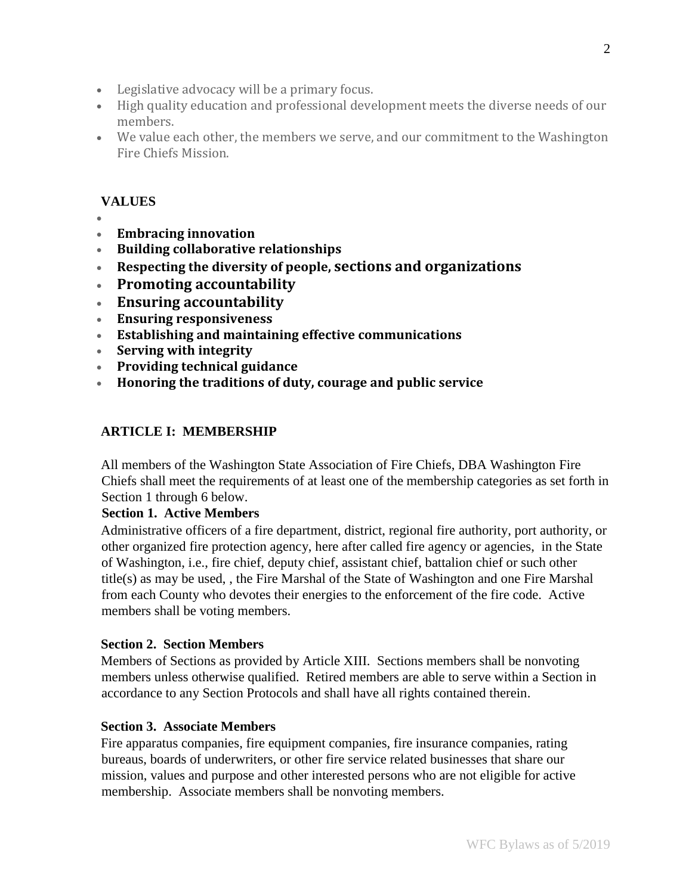- Legislative advocacy will be a primary focus.
- High quality education and professional development meets the diverse needs of our members.
- We value each other, the members we serve, and our commitment to the Washington Fire Chiefs Mission.

# **VALUES**

- •
- **Embracing innovation**
- **Building collaborative relationships**
- **Respecting the diversity of people, sections and organizations**
- **Promoting accountability**
- **Ensuring accountability**
- **Ensuring responsiveness**
- **Establishing and maintaining effective communications**
- **Serving with integrity**
- **Providing technical guidance**
- **Honoring the traditions of duty, courage and public service**

# **ARTICLE I: MEMBERSHIP**

All members of the Washington State Association of Fire Chiefs, DBA Washington Fire Chiefs shall meet the requirements of at least one of the membership categories as set forth in Section 1 through 6 below.

## **Section 1. Active Members**

Administrative officers of a fire department, district, regional fire authority, port authority, or other organized fire protection agency, here after called fire agency or agencies, in the State of Washington, i.e., fire chief, deputy chief, assistant chief, battalion chief or such other title(s) as may be used, , the Fire Marshal of the State of Washington and one Fire Marshal from each County who devotes their energies to the enforcement of the fire code. Active members shall be voting members.

#### **Section 2. Section Members**

Members of Sections as provided by Article XIII. Sections members shall be nonvoting members unless otherwise qualified. Retired members are able to serve within a Section in accordance to any Section Protocols and shall have all rights contained therein.

#### **Section 3. Associate Members**

Fire apparatus companies, fire equipment companies, fire insurance companies, rating bureaus, boards of underwriters, or other fire service related businesses that share our mission, values and purpose and other interested persons who are not eligible for active membership. Associate members shall be nonvoting members.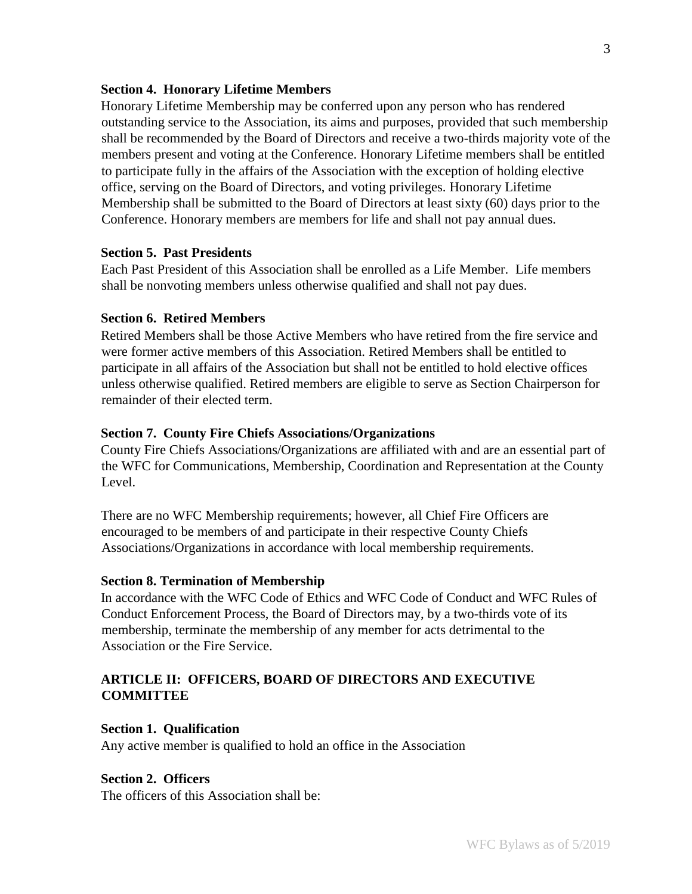#### **Section 4. Honorary Lifetime Members**

Honorary Lifetime Membership may be conferred upon any person who has rendered outstanding service to the Association, its aims and purposes, provided that such membership shall be recommended by the Board of Directors and receive a two-thirds majority vote of the members present and voting at the Conference. Honorary Lifetime members shall be entitled to participate fully in the affairs of the Association with the exception of holding elective office, serving on the Board of Directors, and voting privileges. Honorary Lifetime Membership shall be submitted to the Board of Directors at least sixty (60) days prior to the Conference. Honorary members are members for life and shall not pay annual dues.

# **Section 5. Past Presidents**

Each Past President of this Association shall be enrolled as a Life Member. Life members shall be nonvoting members unless otherwise qualified and shall not pay dues.

#### **Section 6. Retired Members**

Retired Members shall be those Active Members who have retired from the fire service and were former active members of this Association. Retired Members shall be entitled to participate in all affairs of the Association but shall not be entitled to hold elective offices unless otherwise qualified. Retired members are eligible to serve as Section Chairperson for remainder of their elected term.

#### **Section 7. County Fire Chiefs Associations/Organizations**

County Fire Chiefs Associations/Organizations are affiliated with and are an essential part of the WFC for Communications, Membership, Coordination and Representation at the County Level.

There are no WFC Membership requirements; however, all Chief Fire Officers are encouraged to be members of and participate in their respective County Chiefs Associations/Organizations in accordance with local membership requirements.

#### **Section 8. Termination of Membership**

In accordance with the WFC Code of Ethics and WFC Code of Conduct and WFC Rules of Conduct Enforcement Process, the Board of Directors may, by a two-thirds vote of its membership, terminate the membership of any member for acts detrimental to the Association or the Fire Service.

## **ARTICLE II: OFFICERS, BOARD OF DIRECTORS AND EXECUTIVE COMMITTEE**

#### **Section 1. Qualification**

Any active member is qualified to hold an office in the Association

#### **Section 2. Officers**

The officers of this Association shall be: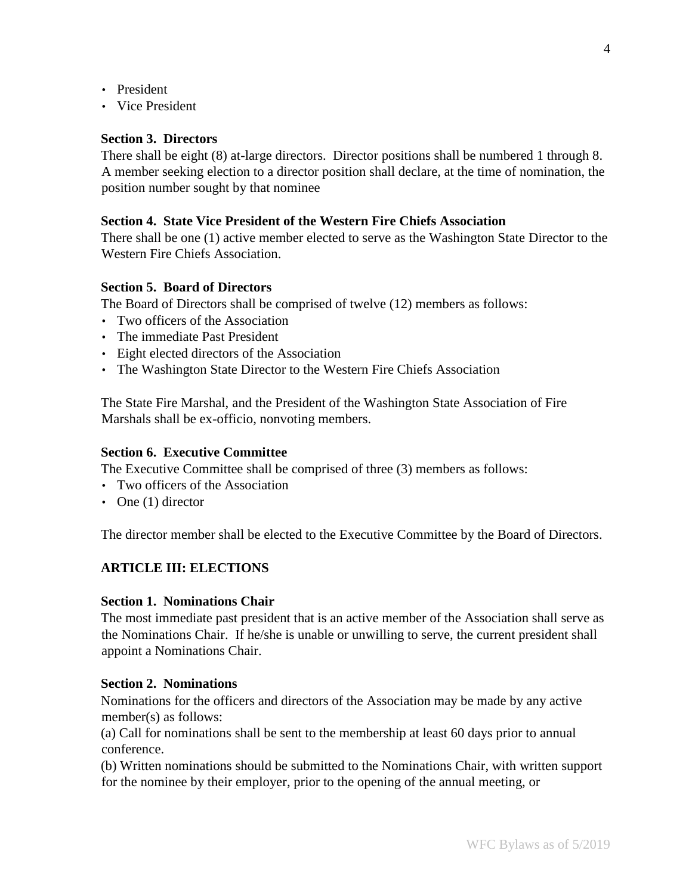- President
- Vice President

## **Section 3. Directors**

There shall be eight (8) at-large directors. Director positions shall be numbered 1 through 8. A member seeking election to a director position shall declare, at the time of nomination, the position number sought by that nominee

## **Section 4. State Vice President of the Western Fire Chiefs Association**

There shall be one (1) active member elected to serve as the Washington State Director to the Western Fire Chiefs Association.

# **Section 5. Board of Directors**

The Board of Directors shall be comprised of twelve (12) members as follows:

- Two officers of the Association
- The immediate Past President
- Eight elected directors of the Association
- The Washington State Director to the Western Fire Chiefs Association

The State Fire Marshal, and the President of the Washington State Association of Fire Marshals shall be ex-officio, nonvoting members.

## **Section 6. Executive Committee**

The Executive Committee shall be comprised of three (3) members as follows:

- Two officers of the Association
- One (1) director

The director member shall be elected to the Executive Committee by the Board of Directors.

# **ARTICLE III: ELECTIONS**

## **Section 1. Nominations Chair**

The most immediate past president that is an active member of the Association shall serve as the Nominations Chair. If he/she is unable or unwilling to serve, the current president shall appoint a Nominations Chair.

## **Section 2. Nominations**

Nominations for the officers and directors of the Association may be made by any active member(s) as follows:

(a) Call for nominations shall be sent to the membership at least 60 days prior to annual conference.

(b) Written nominations should be submitted to the Nominations Chair, with written support for the nominee by their employer, prior to the opening of the annual meeting, or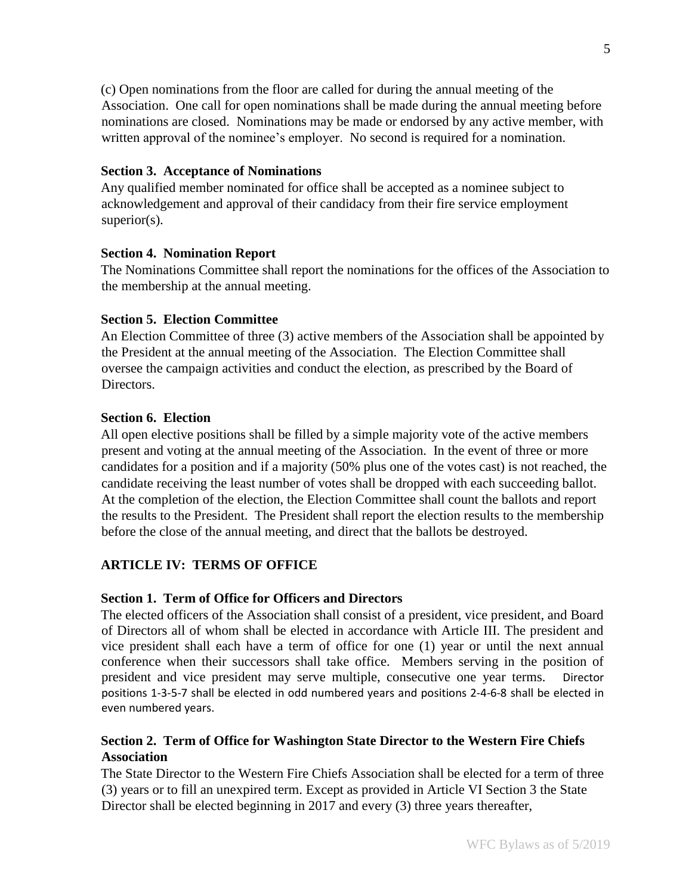(c) Open nominations from the floor are called for during the annual meeting of the Association. One call for open nominations shall be made during the annual meeting before nominations are closed. Nominations may be made or endorsed by any active member, with written approval of the nominee's employer. No second is required for a nomination.

#### **Section 3. Acceptance of Nominations**

Any qualified member nominated for office shall be accepted as a nominee subject to acknowledgement and approval of their candidacy from their fire service employment superior(s).

#### **Section 4. Nomination Report**

The Nominations Committee shall report the nominations for the offices of the Association to the membership at the annual meeting.

#### **Section 5. Election Committee**

An Election Committee of three (3) active members of the Association shall be appointed by the President at the annual meeting of the Association. The Election Committee shall oversee the campaign activities and conduct the election, as prescribed by the Board of Directors.

#### **Section 6. Election**

All open elective positions shall be filled by a simple majority vote of the active members present and voting at the annual meeting of the Association. In the event of three or more candidates for a position and if a majority (50% plus one of the votes cast) is not reached, the candidate receiving the least number of votes shall be dropped with each succeeding ballot. At the completion of the election, the Election Committee shall count the ballots and report the results to the President. The President shall report the election results to the membership before the close of the annual meeting, and direct that the ballots be destroyed.

## **ARTICLE IV: TERMS OF OFFICE**

## **Section 1. Term of Office for Officers and Directors**

The elected officers of the Association shall consist of a president, vice president, and Board of Directors all of whom shall be elected in accordance with Article III. The president and vice president shall each have a term of office for one (1) year or until the next annual conference when their successors shall take office. Members serving in the position of president and vice president may serve multiple, consecutive one year terms. Director positions 1-3-5-7 shall be elected in odd numbered years and positions 2-4-6-8 shall be elected in even numbered years.

# **Section 2. Term of Office for Washington State Director to the Western Fire Chiefs Association**

The State Director to the Western Fire Chiefs Association shall be elected for a term of three (3) years or to fill an unexpired term. Except as provided in Article VI Section 3 the State Director shall be elected beginning in 2017 and every (3) three years thereafter,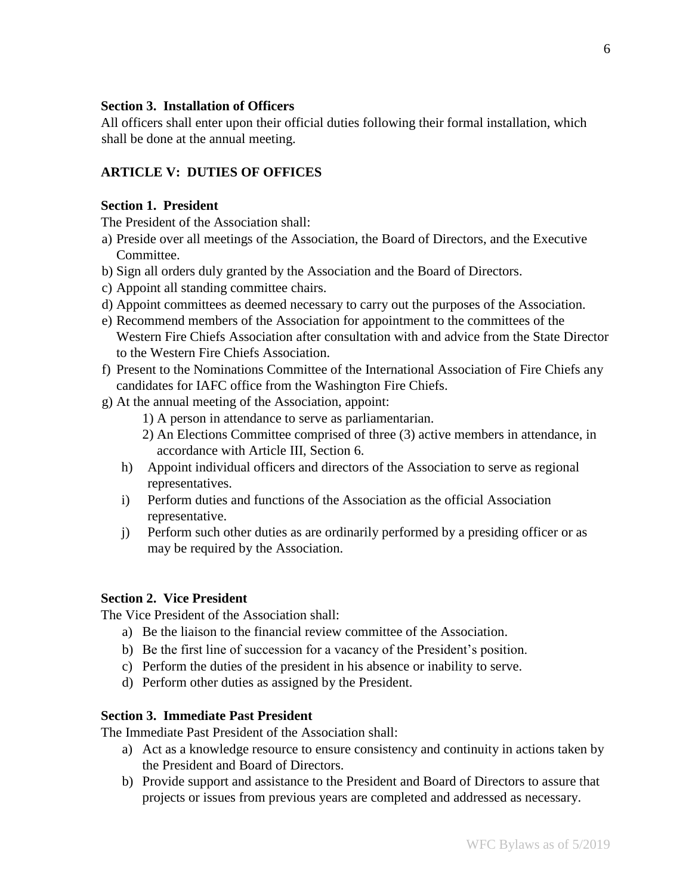## **Section 3. Installation of Officers**

All officers shall enter upon their official duties following their formal installation, which shall be done at the annual meeting.

## **ARTICLE V: DUTIES OF OFFICES**

## **Section 1. President**

The President of the Association shall:

- a) Preside over all meetings of the Association, the Board of Directors, and the Executive Committee.
- b) Sign all orders duly granted by the Association and the Board of Directors.
- c) Appoint all standing committee chairs.
- d) Appoint committees as deemed necessary to carry out the purposes of the Association.
- e) Recommend members of the Association for appointment to the committees of the Western Fire Chiefs Association after consultation with and advice from the State Director to the Western Fire Chiefs Association.
- f) Present to the Nominations Committee of the International Association of Fire Chiefs any candidates for IAFC office from the Washington Fire Chiefs.
- g) At the annual meeting of the Association, appoint:
	- 1) A person in attendance to serve as parliamentarian.
	- 2) An Elections Committee comprised of three (3) active members in attendance, in accordance with Article III, Section 6.
	- h) Appoint individual officers and directors of the Association to serve as regional representatives.
	- i) Perform duties and functions of the Association as the official Association representative.
	- j) Perform such other duties as are ordinarily performed by a presiding officer or as may be required by the Association.

## **Section 2. Vice President**

The Vice President of the Association shall:

- a) Be the liaison to the financial review committee of the Association.
- b) Be the first line of succession for a vacancy of the President's position.
- c) Perform the duties of the president in his absence or inability to serve.
- d) Perform other duties as assigned by the President.

#### **Section 3. Immediate Past President**

The Immediate Past President of the Association shall:

- a) Act as a knowledge resource to ensure consistency and continuity in actions taken by the President and Board of Directors.
- b) Provide support and assistance to the President and Board of Directors to assure that projects or issues from previous years are completed and addressed as necessary.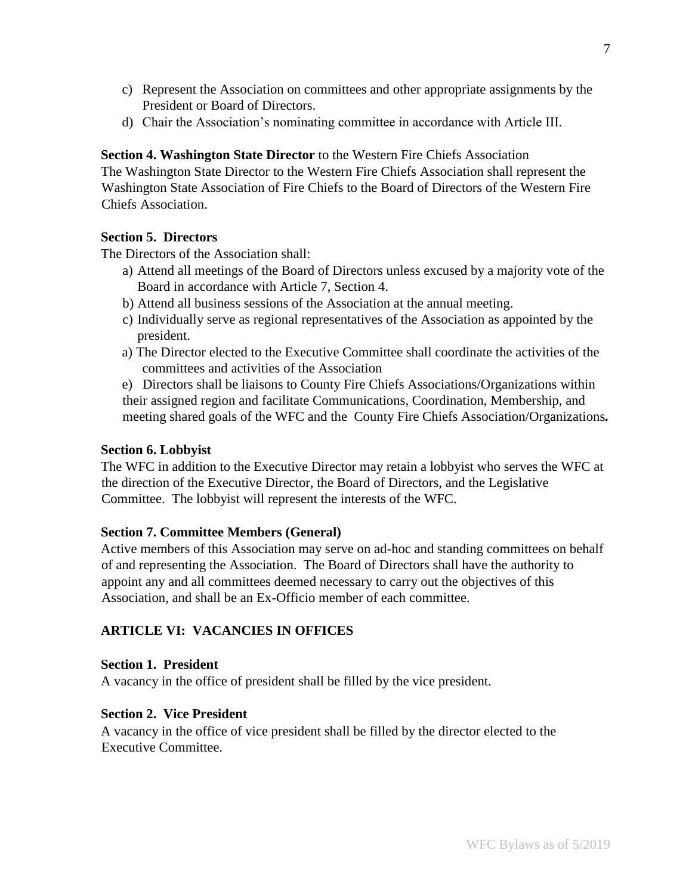- c) Represent the Association on committees and other appropriate assignments by the President or Board of Directors.
- d) Chair the Association's nominating committee in accordance with Article III.

**Section 4. Washington State Director** to the Western Fire Chiefs Association The Washington State Director to the Western Fire Chiefs Association shall represent the Washington State Association of Fire Chiefs to the Board of Directors of the Western Fire Chiefs Association.

## **Section 5. Directors**

The Directors of the Association shall:

- a) Attend all meetings of the Board of Directors unless excused by a majority vote of the Board in accordance with Article 7, Section 4.
- b) Attend all business sessions of the Association at the annual meeting.
- c) Individually serve as regional representatives of the Association as appointed by the president.
- a) The Director elected to the Executive Committee shall coordinate the activities of the committees and activities of the Association

e) Directors shall be liaisons to County Fire Chiefs Associations/Organizations within their assigned region and facilitate Communications, Coordination, Membership, and meeting shared goals of the WFC and the County Fire Chiefs Association/Organizations*.* 

#### **Section 6. Lobbyist**

The WFC in addition to the Executive Director may retain a lobbyist who serves the WFC at the direction of the Executive Director, the Board of Directors, and the Legislative Committee. The lobbyist will represent the interests of the WFC.

#### **Section 7. Committee Members (General)**

Active members of this Association may serve on ad-hoc and standing committees on behalf of and representing the Association. The Board of Directors shall have the authority to appoint any and all committees deemed necessary to carry out the objectives of this Association, and shall be an Ex-Officio member of each committee.

# **ARTICLE VI: VACANCIES IN OFFICES**

#### **Section 1. President**

A vacancy in the office of president shall be filled by the vice president.

#### **Section 2. Vice President**

A vacancy in the office of vice president shall be filled by the director elected to the Executive Committee.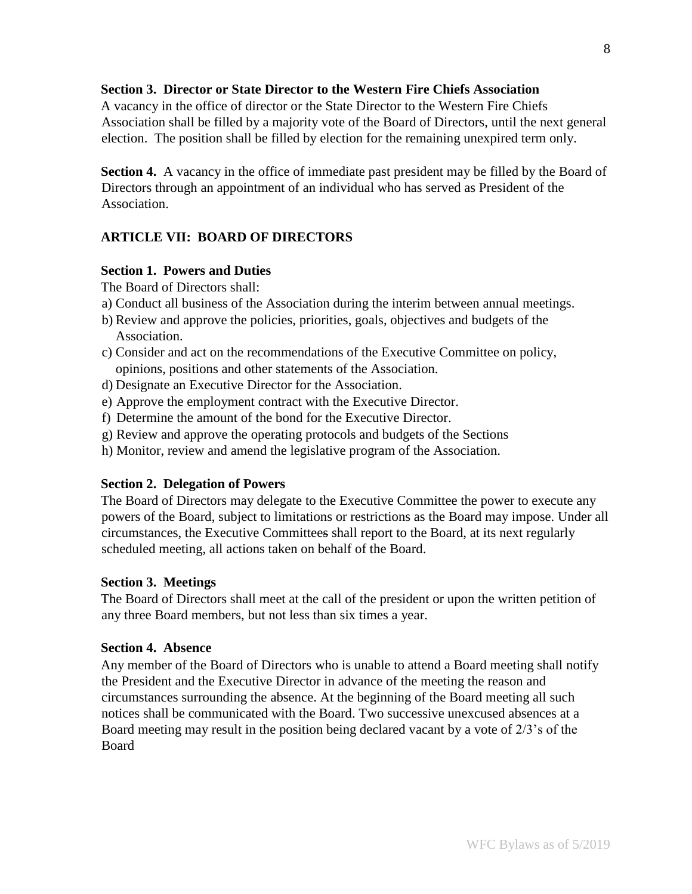# **Section 3. Director or State Director to the Western Fire Chiefs Association**

A vacancy in the office of director or the State Director to the Western Fire Chiefs Association shall be filled by a majority vote of the Board of Directors, until the next general election. The position shall be filled by election for the remaining unexpired term only.

**Section 4.** A vacancy in the office of immediate past president may be filled by the Board of Directors through an appointment of an individual who has served as President of the Association.

# **ARTICLE VII: BOARD OF DIRECTORS**

## **Section 1. Powers and Duties**

The Board of Directors shall:

- a) Conduct all business of the Association during the interim between annual meetings.
- b) Review and approve the policies, priorities, goals, objectives and budgets of the Association.
- c) Consider and act on the recommendations of the Executive Committee on policy, opinions, positions and other statements of the Association.
- d) Designate an Executive Director for the Association.
- e) Approve the employment contract with the Executive Director.
- f) Determine the amount of the bond for the Executive Director.
- g) Review and approve the operating protocols and budgets of the Sections
- h) Monitor, review and amend the legislative program of the Association.

## **Section 2. Delegation of Powers**

The Board of Directors may delegate to the Executive Committee the power to execute any powers of the Board, subject to limitations or restrictions as the Board may impose. Under all circumstances, the Executive Committees shall report to the Board, at its next regularly scheduled meeting, all actions taken on behalf of the Board.

#### **Section 3. Meetings**

The Board of Directors shall meet at the call of the president or upon the written petition of any three Board members, but not less than six times a year.

## **Section 4. Absence**

Any member of the Board of Directors who is unable to attend a Board meeting shall notify the President and the Executive Director in advance of the meeting the reason and circumstances surrounding the absence. At the beginning of the Board meeting all such notices shall be communicated with the Board. Two successive unexcused absences at a Board meeting may result in the position being declared vacant by a vote of 2/3's of the Board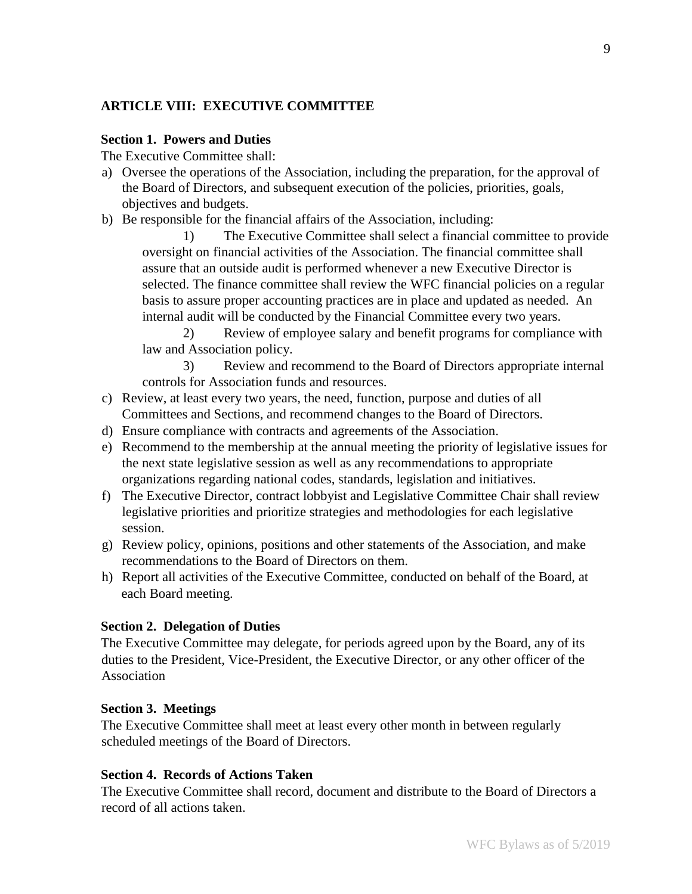# **ARTICLE VIII: EXECUTIVE COMMITTEE**

#### **Section 1. Powers and Duties**

The Executive Committee shall:

- a) Oversee the operations of the Association, including the preparation, for the approval of the Board of Directors, and subsequent execution of the policies, priorities, goals, objectives and budgets.
- b) Be responsible for the financial affairs of the Association, including:

1) The Executive Committee shall select a financial committee to provide oversight on financial activities of the Association. The financial committee shall assure that an outside audit is performed whenever a new Executive Director is selected. The finance committee shall review the WFC financial policies on a regular basis to assure proper accounting practices are in place and updated as needed. An internal audit will be conducted by the Financial Committee every two years.

2) Review of employee salary and benefit programs for compliance with law and Association policy.

3) Review and recommend to the Board of Directors appropriate internal controls for Association funds and resources.

- c) Review, at least every two years, the need, function, purpose and duties of all Committees and Sections, and recommend changes to the Board of Directors.
- d) Ensure compliance with contracts and agreements of the Association.
- e) Recommend to the membership at the annual meeting the priority of legislative issues for the next state legislative session as well as any recommendations to appropriate organizations regarding national codes, standards, legislation and initiatives.
- f) The Executive Director, contract lobbyist and Legislative Committee Chair shall review legislative priorities and prioritize strategies and methodologies for each legislative session.
- g) Review policy, opinions, positions and other statements of the Association, and make recommendations to the Board of Directors on them.
- h) Report all activities of the Executive Committee, conducted on behalf of the Board, at each Board meeting.

## **Section 2. Delegation of Duties**

The Executive Committee may delegate, for periods agreed upon by the Board, any of its duties to the President, Vice-President, the Executive Director, or any other officer of the Association

#### **Section 3. Meetings**

The Executive Committee shall meet at least every other month in between regularly scheduled meetings of the Board of Directors.

## **Section 4. Records of Actions Taken**

The Executive Committee shall record, document and distribute to the Board of Directors a record of all actions taken.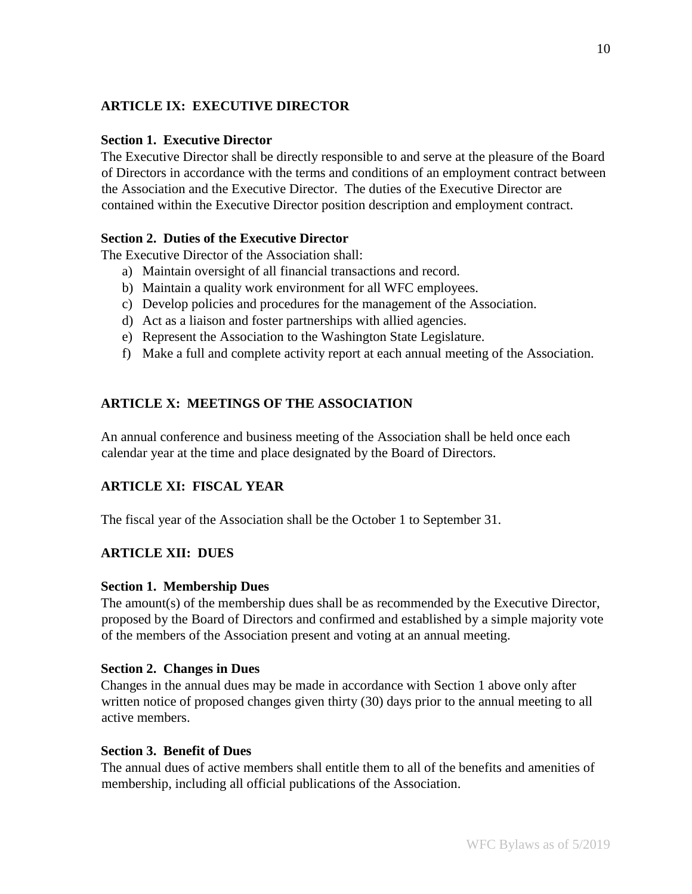# **ARTICLE IX: EXECUTIVE DIRECTOR**

## **Section 1. Executive Director**

The Executive Director shall be directly responsible to and serve at the pleasure of the Board of Directors in accordance with the terms and conditions of an employment contract between the Association and the Executive Director. The duties of the Executive Director are contained within the Executive Director position description and employment contract.

# **Section 2. Duties of the Executive Director**

The Executive Director of the Association shall:

- a) Maintain oversight of all financial transactions and record.
- b) Maintain a quality work environment for all WFC employees.
- c) Develop policies and procedures for the management of the Association.
- d) Act as a liaison and foster partnerships with allied agencies.
- e) Represent the Association to the Washington State Legislature.
- f) Make a full and complete activity report at each annual meeting of the Association.

# **ARTICLE X: MEETINGS OF THE ASSOCIATION**

An annual conference and business meeting of the Association shall be held once each calendar year at the time and place designated by the Board of Directors.

# **ARTICLE XI: FISCAL YEAR**

The fiscal year of the Association shall be the October 1 to September 31.

# **ARTICLE XII: DUES**

## **Section 1. Membership Dues**

The amount(s) of the membership dues shall be as recommended by the Executive Director, proposed by the Board of Directors and confirmed and established by a simple majority vote of the members of the Association present and voting at an annual meeting.

## **Section 2. Changes in Dues**

Changes in the annual dues may be made in accordance with Section 1 above only after written notice of proposed changes given thirty (30) days prior to the annual meeting to all active members.

## **Section 3. Benefit of Dues**

The annual dues of active members shall entitle them to all of the benefits and amenities of membership, including all official publications of the Association.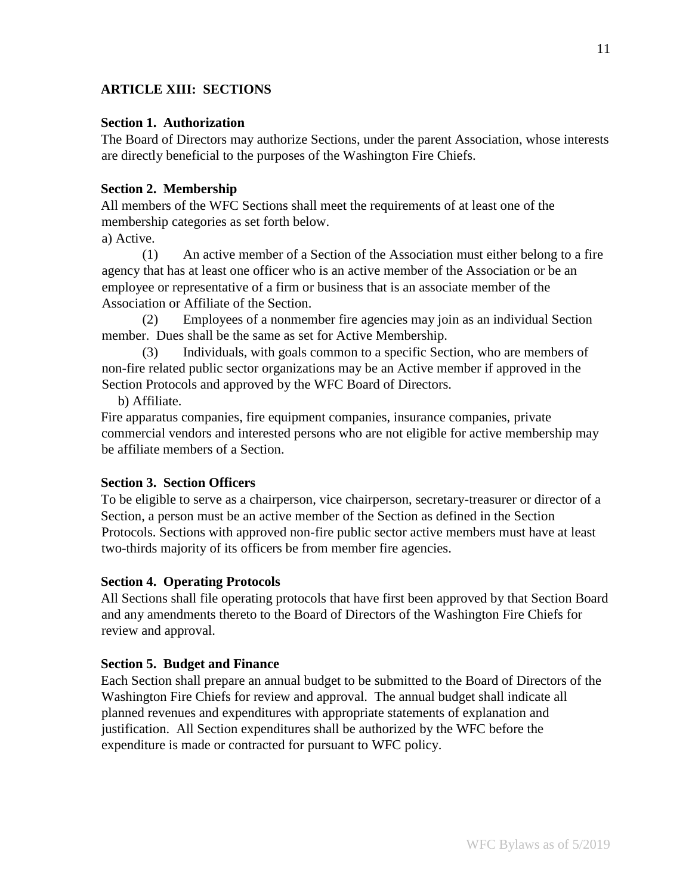# **ARTICLE XIII: SECTIONS**

#### **Section 1. Authorization**

The Board of Directors may authorize Sections, under the parent Association, whose interests are directly beneficial to the purposes of the Washington Fire Chiefs.

## **Section 2. Membership**

All members of the WFC Sections shall meet the requirements of at least one of the membership categories as set forth below.

## a) Active.

(1) An active member of a Section of the Association must either belong to a fire agency that has at least one officer who is an active member of the Association or be an employee or representative of a firm or business that is an associate member of the Association or Affiliate of the Section.

(2) Employees of a nonmember fire agencies may join as an individual Section member. Dues shall be the same as set for Active Membership.

(3) Individuals, with goals common to a specific Section, who are members of non-fire related public sector organizations may be an Active member if approved in the Section Protocols and approved by the WFC Board of Directors.

b) Affiliate.

Fire apparatus companies, fire equipment companies, insurance companies, private commercial vendors and interested persons who are not eligible for active membership may be affiliate members of a Section.

## **Section 3. Section Officers**

To be eligible to serve as a chairperson, vice chairperson, secretary-treasurer or director of a Section, a person must be an active member of the Section as defined in the Section Protocols. Sections with approved non-fire public sector active members must have at least two-thirds majority of its officers be from member fire agencies.

## **Section 4. Operating Protocols**

All Sections shall file operating protocols that have first been approved by that Section Board and any amendments thereto to the Board of Directors of the Washington Fire Chiefs for review and approval.

#### **Section 5. Budget and Finance**

Each Section shall prepare an annual budget to be submitted to the Board of Directors of the Washington Fire Chiefs for review and approval. The annual budget shall indicate all planned revenues and expenditures with appropriate statements of explanation and justification. All Section expenditures shall be authorized by the WFC before the expenditure is made or contracted for pursuant to WFC policy.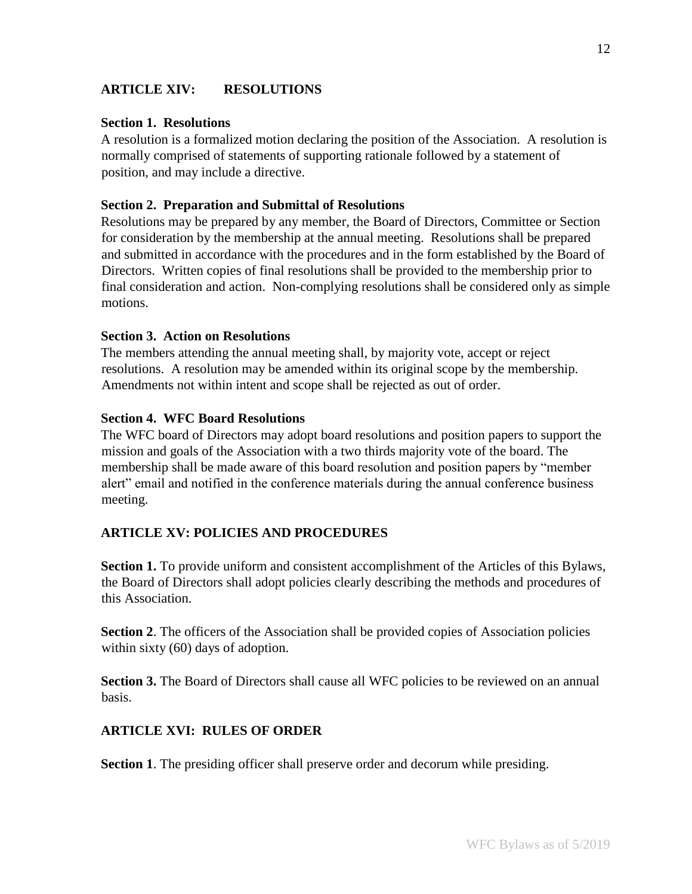# **ARTICLE XIV: RESOLUTIONS**

#### **Section 1. Resolutions**

A resolution is a formalized motion declaring the position of the Association. A resolution is normally comprised of statements of supporting rationale followed by a statement of position, and may include a directive.

#### **Section 2. Preparation and Submittal of Resolutions**

Resolutions may be prepared by any member, the Board of Directors, Committee or Section for consideration by the membership at the annual meeting. Resolutions shall be prepared and submitted in accordance with the procedures and in the form established by the Board of Directors. Written copies of final resolutions shall be provided to the membership prior to final consideration and action. Non-complying resolutions shall be considered only as simple motions.

#### **Section 3. Action on Resolutions**

The members attending the annual meeting shall, by majority vote, accept or reject resolutions. A resolution may be amended within its original scope by the membership. Amendments not within intent and scope shall be rejected as out of order.

#### **Section 4. WFC Board Resolutions**

The WFC board of Directors may adopt board resolutions and position papers to support the mission and goals of the Association with a two thirds majority vote of the board. The membership shall be made aware of this board resolution and position papers by "member alert" email and notified in the conference materials during the annual conference business meeting.

## **ARTICLE XV: POLICIES AND PROCEDURES**

**Section 1.** To provide uniform and consistent accomplishment of the Articles of this Bylaws, the Board of Directors shall adopt policies clearly describing the methods and procedures of this Association.

**Section 2.** The officers of the Association shall be provided copies of Association policies within sixty (60) days of adoption.

**Section 3.** The Board of Directors shall cause all WFC policies to be reviewed on an annual basis.

## **ARTICLE XVI: RULES OF ORDER**

**Section 1**. The presiding officer shall preserve order and decorum while presiding.